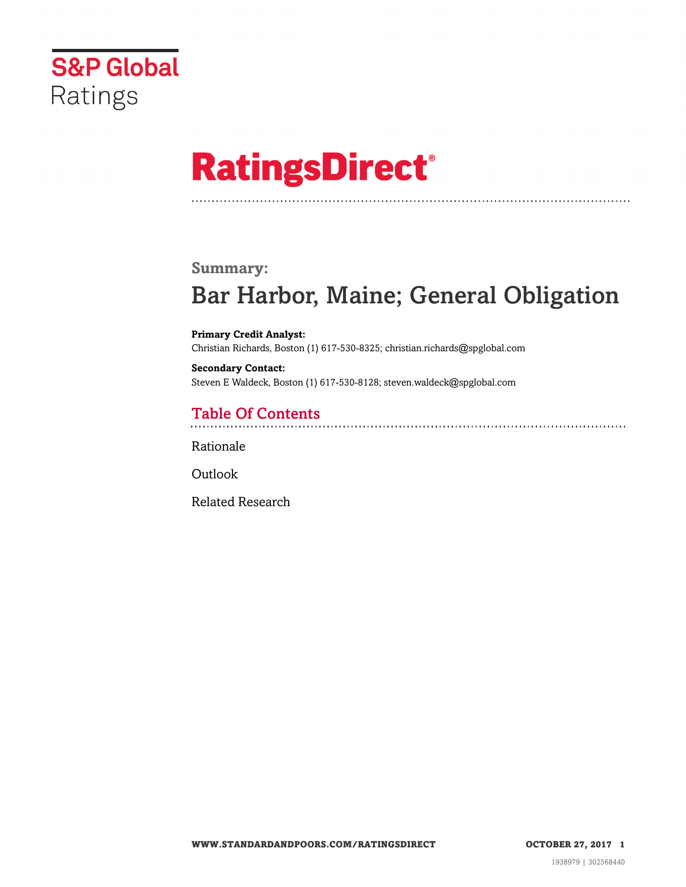

# **RatingsDirect®**

### **Summary:**

# Bar Harbor, Maine; General Obligation

**Primary Credit Analyst:** Christian Richards, Boston (1) 617-530-8325; christian.richards@spglobal.com

**Secondary Contact:** Steven E Waldeck, Boston (1) 617-530-8128; steven.waldeck@spglobal.com

# Table Of Contents

[Rationale](#page-1-0)

**[Outlook](#page-4-0)** 

[Related Research](#page-4-1)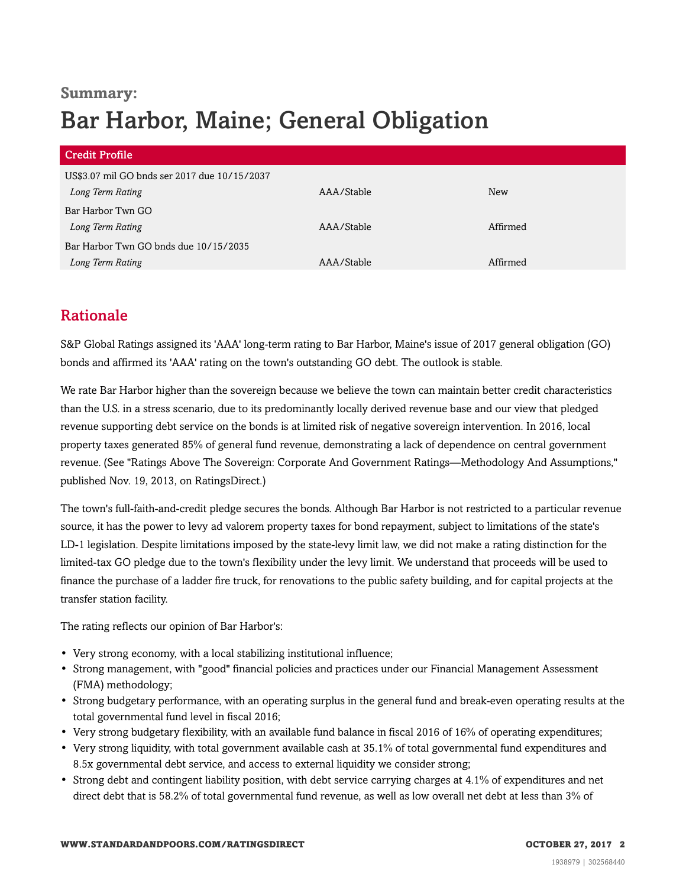# **Summary:** Bar Harbor, Maine; General Obligation

| <b>Credit Profile</b>                        |            |            |
|----------------------------------------------|------------|------------|
| US\$3.07 mil GO bnds ser 2017 due 10/15/2037 |            |            |
| Long Term Rating                             | AAA/Stable | <b>New</b> |
| Bar Harbor Twn GO                            |            |            |
| Long Term Rating                             | AAA/Stable | Affirmed   |
| Bar Harbor Twn GO bnds due 10/15/2035        |            |            |
| Long Term Rating                             | AAA/Stable | Affirmed   |

# <span id="page-1-0"></span>Rationale

S&P Global Ratings assigned its 'AAA' long-term rating to Bar Harbor, Maine's issue of 2017 general obligation (GO) bonds and affirmed its 'AAA' rating on the town's outstanding GO debt. The outlook is stable.

We rate Bar Harbor higher than the sovereign because we believe the town can maintain better credit characteristics than the U.S. in a stress scenario, due to its predominantly locally derived revenue base and our view that pledged revenue supporting debt service on the bonds is at limited risk of negative sovereign intervention. In 2016, local property taxes generated 85% of general fund revenue, demonstrating a lack of dependence on central government revenue. (See "Ratings Above The Sovereign: Corporate And Government Ratings—Methodology And Assumptions," published Nov. 19, 2013, on RatingsDirect.)

The town's full-faith-and-credit pledge secures the bonds. Although Bar Harbor is not restricted to a particular revenue source, it has the power to levy ad valorem property taxes for bond repayment, subject to limitations of the state's LD-1 legislation. Despite limitations imposed by the state-levy limit law, we did not make a rating distinction for the limited-tax GO pledge due to the town's flexibility under the levy limit. We understand that proceeds will be used to finance the purchase of a ladder fire truck, for renovations to the public safety building, and for capital projects at the transfer station facility.

The rating reflects our opinion of Bar Harbor's:

- Very strong economy, with a local stabilizing institutional influence;
- Strong management, with "good" financial policies and practices under our Financial Management Assessment (FMA) methodology;
- Strong budgetary performance, with an operating surplus in the general fund and break-even operating results at the total governmental fund level in fiscal 2016;
- Very strong budgetary flexibility, with an available fund balance in fiscal 2016 of 16% of operating expenditures;
- Very strong liquidity, with total government available cash at 35.1% of total governmental fund expenditures and 8.5x governmental debt service, and access to external liquidity we consider strong;
- Strong debt and contingent liability position, with debt service carrying charges at 4.1% of expenditures and net direct debt that is 58.2% of total governmental fund revenue, as well as low overall net debt at less than 3% of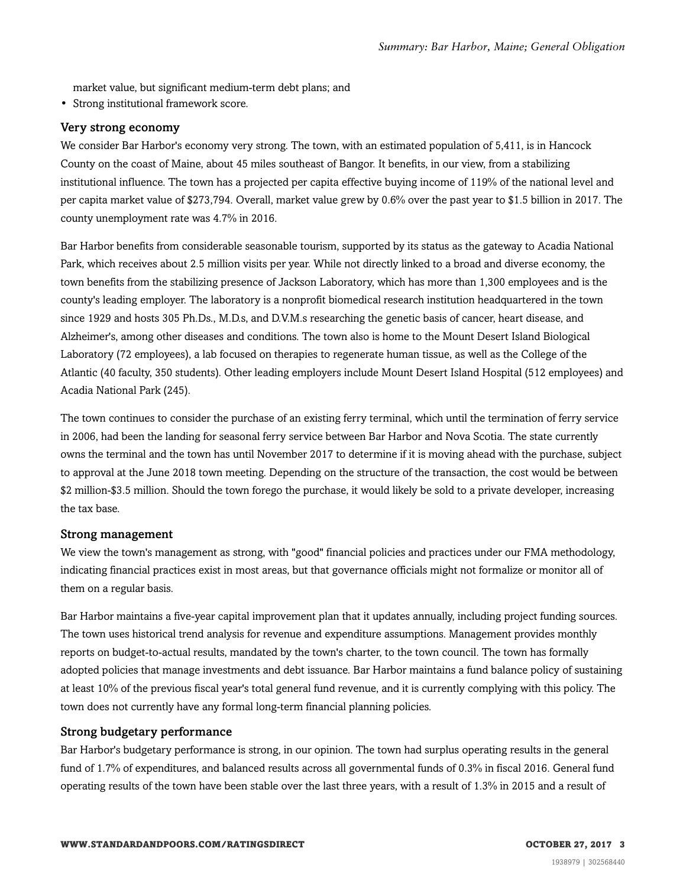market value, but significant medium-term debt plans; and

• Strong institutional framework score.

#### Very strong economy

We consider Bar Harbor's economy very strong. The town, with an estimated population of 5,411, is in Hancock County on the coast of Maine, about 45 miles southeast of Bangor. It benefits, in our view, from a stabilizing institutional influence. The town has a projected per capita effective buying income of 119% of the national level and per capita market value of \$273,794. Overall, market value grew by 0.6% over the past year to \$1.5 billion in 2017. The county unemployment rate was 4.7% in 2016.

Bar Harbor benefits from considerable seasonable tourism, supported by its status as the gateway to Acadia National Park, which receives about 2.5 million visits per year. While not directly linked to a broad and diverse economy, the town benefits from the stabilizing presence of Jackson Laboratory, which has more than 1,300 employees and is the county's leading employer. The laboratory is a nonprofit biomedical research institution headquartered in the town since 1929 and hosts 305 Ph.Ds., M.D.s, and D.V.M.s researching the genetic basis of cancer, heart disease, and Alzheimer's, among other diseases and conditions. The town also is home to the Mount Desert Island Biological Laboratory (72 employees), a lab focused on therapies to regenerate human tissue, as well as the College of the Atlantic (40 faculty, 350 students). Other leading employers include Mount Desert Island Hospital (512 employees) and Acadia National Park (245).

The town continues to consider the purchase of an existing ferry terminal, which until the termination of ferry service in 2006, had been the landing for seasonal ferry service between Bar Harbor and Nova Scotia. The state currently owns the terminal and the town has until November 2017 to determine if it is moving ahead with the purchase, subject to approval at the June 2018 town meeting. Depending on the structure of the transaction, the cost would be between \$2 million-\$3.5 million. Should the town forego the purchase, it would likely be sold to a private developer, increasing the tax base.

#### Strong management

We view the town's management as strong, with "good" financial policies and practices under our FMA methodology, indicating financial practices exist in most areas, but that governance officials might not formalize or monitor all of them on a regular basis.

Bar Harbor maintains a five-year capital improvement plan that it updates annually, including project funding sources. The town uses historical trend analysis for revenue and expenditure assumptions. Management provides monthly reports on budget-to-actual results, mandated by the town's charter, to the town council. The town has formally adopted policies that manage investments and debt issuance. Bar Harbor maintains a fund balance policy of sustaining at least 10% of the previous fiscal year's total general fund revenue, and it is currently complying with this policy. The town does not currently have any formal long-term financial planning policies.

#### Strong budgetary performance

Bar Harbor's budgetary performance is strong, in our opinion. The town had surplus operating results in the general fund of 1.7% of expenditures, and balanced results across all governmental funds of 0.3% in fiscal 2016. General fund operating results of the town have been stable over the last three years, with a result of 1.3% in 2015 and a result of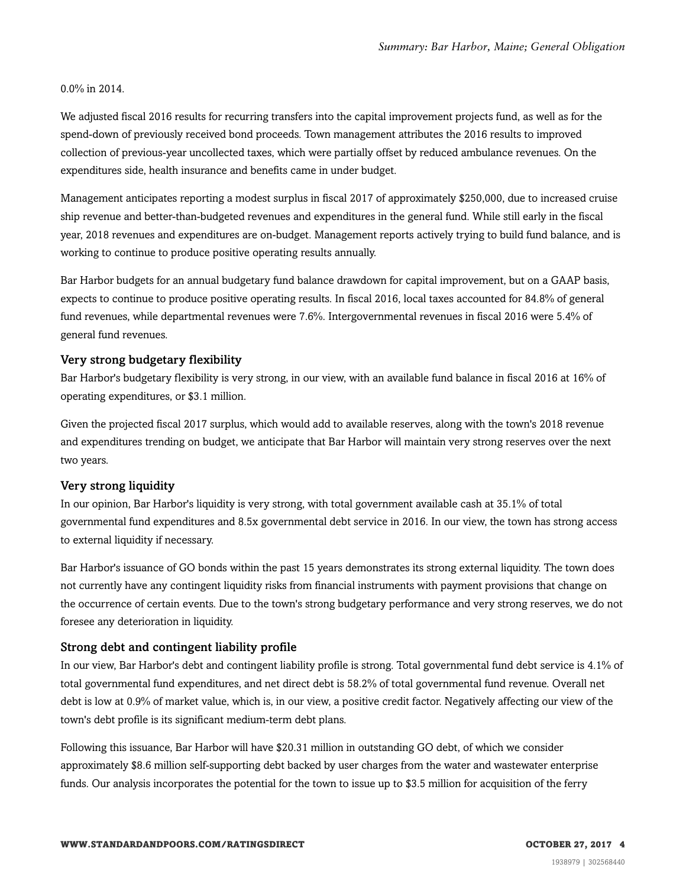#### 0.0% in 2014.

We adjusted fiscal 2016 results for recurring transfers into the capital improvement projects fund, as well as for the spend-down of previously received bond proceeds. Town management attributes the 2016 results to improved collection of previous-year uncollected taxes, which were partially offset by reduced ambulance revenues. On the expenditures side, health insurance and benefits came in under budget.

Management anticipates reporting a modest surplus in fiscal 2017 of approximately \$250,000, due to increased cruise ship revenue and better-than-budgeted revenues and expenditures in the general fund. While still early in the fiscal year, 2018 revenues and expenditures are on-budget. Management reports actively trying to build fund balance, and is working to continue to produce positive operating results annually.

Bar Harbor budgets for an annual budgetary fund balance drawdown for capital improvement, but on a GAAP basis, expects to continue to produce positive operating results. In fiscal 2016, local taxes accounted for 84.8% of general fund revenues, while departmental revenues were 7.6%. Intergovernmental revenues in fiscal 2016 were 5.4% of general fund revenues.

#### Very strong budgetary flexibility

Bar Harbor's budgetary flexibility is very strong, in our view, with an available fund balance in fiscal 2016 at 16% of operating expenditures, or \$3.1 million.

Given the projected fiscal 2017 surplus, which would add to available reserves, along with the town's 2018 revenue and expenditures trending on budget, we anticipate that Bar Harbor will maintain very strong reserves over the next two years.

#### Very strong liquidity

In our opinion, Bar Harbor's liquidity is very strong, with total government available cash at 35.1% of total governmental fund expenditures and 8.5x governmental debt service in 2016. In our view, the town has strong access to external liquidity if necessary.

Bar Harbor's issuance of GO bonds within the past 15 years demonstrates its strong external liquidity. The town does not currently have any contingent liquidity risks from financial instruments with payment provisions that change on the occurrence of certain events. Due to the town's strong budgetary performance and very strong reserves, we do not foresee any deterioration in liquidity.

#### Strong debt and contingent liability profile

In our view, Bar Harbor's debt and contingent liability profile is strong. Total governmental fund debt service is 4.1% of total governmental fund expenditures, and net direct debt is 58.2% of total governmental fund revenue. Overall net debt is low at 0.9% of market value, which is, in our view, a positive credit factor. Negatively affecting our view of the town's debt profile is its significant medium-term debt plans.

Following this issuance, Bar Harbor will have \$20.31 million in outstanding GO debt, of which we consider approximately \$8.6 million self-supporting debt backed by user charges from the water and wastewater enterprise funds. Our analysis incorporates the potential for the town to issue up to \$3.5 million for acquisition of the ferry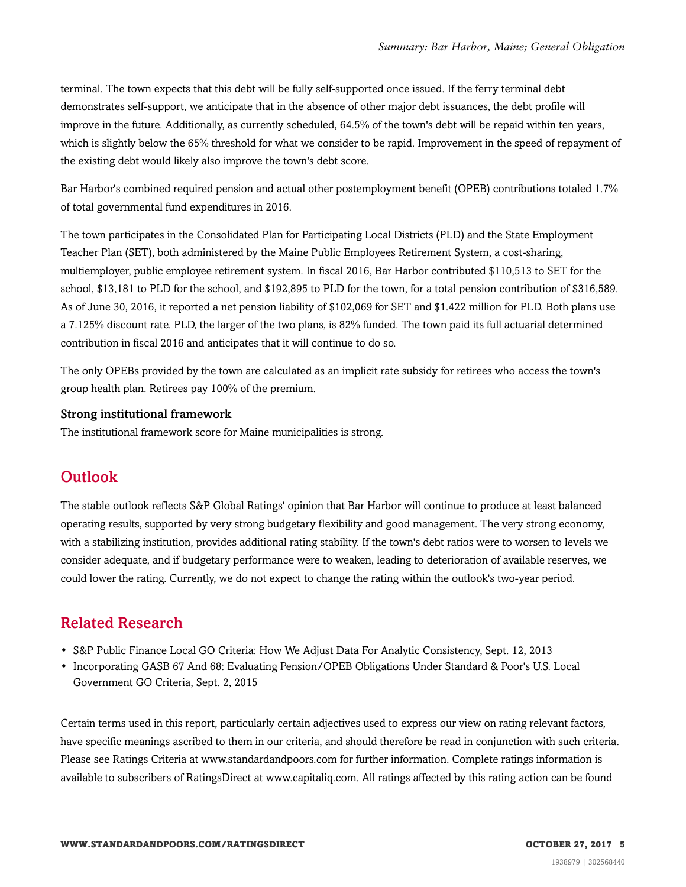terminal. The town expects that this debt will be fully self-supported once issued. If the ferry terminal debt demonstrates self-support, we anticipate that in the absence of other major debt issuances, the debt profile will improve in the future. Additionally, as currently scheduled, 64.5% of the town's debt will be repaid within ten years, which is slightly below the 65% threshold for what we consider to be rapid. Improvement in the speed of repayment of the existing debt would likely also improve the town's debt score.

Bar Harbor's combined required pension and actual other postemployment benefit (OPEB) contributions totaled 1.7% of total governmental fund expenditures in 2016.

The town participates in the Consolidated Plan for Participating Local Districts (PLD) and the State Employment Teacher Plan (SET), both administered by the Maine Public Employees Retirement System, a cost-sharing, multiemployer, public employee retirement system. In fiscal 2016, Bar Harbor contributed \$110,513 to SET for the school, \$13,181 to PLD for the school, and \$192,895 to PLD for the town, for a total pension contribution of \$316,589. As of June 30, 2016, it reported a net pension liability of \$102,069 for SET and \$1.422 million for PLD. Both plans use a 7.125% discount rate. PLD, the larger of the two plans, is 82% funded. The town paid its full actuarial determined contribution in fiscal 2016 and anticipates that it will continue to do so.

The only OPEBs provided by the town are calculated as an implicit rate subsidy for retirees who access the town's group health plan. Retirees pay 100% of the premium.

#### Strong institutional framework

<span id="page-4-0"></span>The institutional framework score for Maine municipalities is strong.

## **Outlook**

The stable outlook reflects S&P Global Ratings' opinion that Bar Harbor will continue to produce at least balanced operating results, supported by very strong budgetary flexibility and good management. The very strong economy, with a stabilizing institution, provides additional rating stability. If the town's debt ratios were to worsen to levels we consider adequate, and if budgetary performance were to weaken, leading to deterioration of available reserves, we could lower the rating. Currently, we do not expect to change the rating within the outlook's two-year period.

## <span id="page-4-1"></span>Related Research

- S&P Public Finance Local GO Criteria: How We Adjust Data For Analytic Consistency, Sept. 12, 2013
- Incorporating GASB 67 And 68: Evaluating Pension/OPEB Obligations Under Standard & Poor's U.S. Local Government GO Criteria, Sept. 2, 2015

Certain terms used in this report, particularly certain adjectives used to express our view on rating relevant factors, have specific meanings ascribed to them in our criteria, and should therefore be read in conjunction with such criteria. Please see Ratings Criteria at www.standardandpoors.com for further information. Complete ratings information is available to subscribers of RatingsDirect at www.capitaliq.com. All ratings affected by this rating action can be found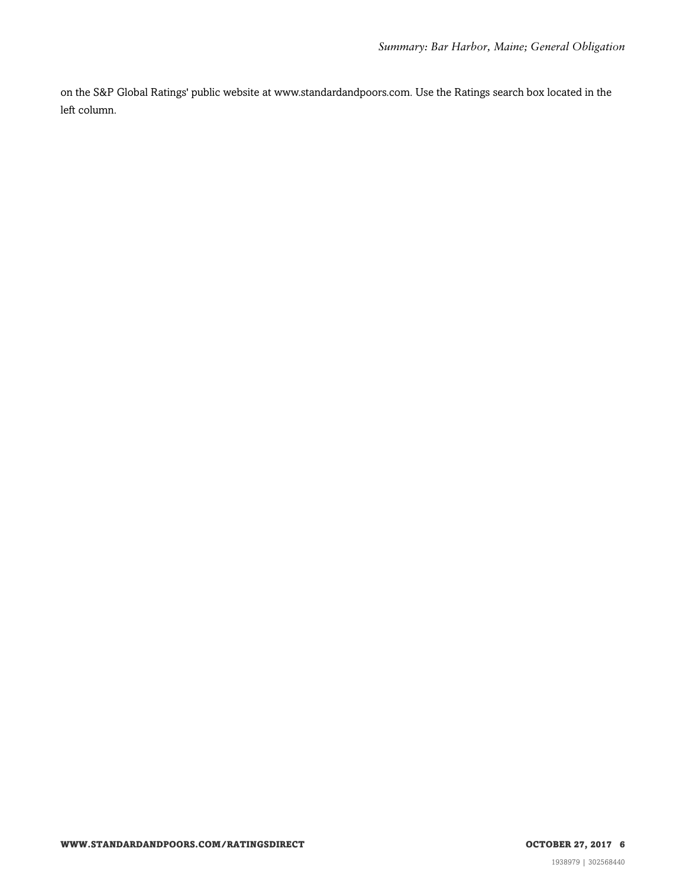on the S&P Global Ratings' public website at www.standardandpoors.com. Use the Ratings search box located in the left column.